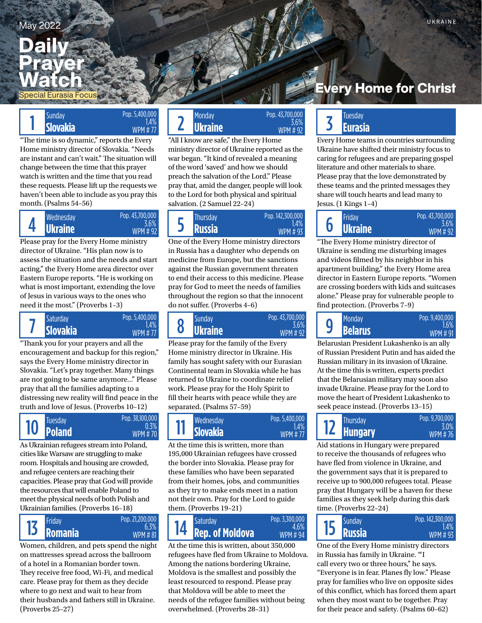## May 2022 UKRAINE

# **Daily** Prayer Watch

pecial Eurasia Focus

# $\begin{array}{|c|c|c|}\n1 & \text{Slunday} & & & & & & & & & 1.4\% \ \hline\n\text{Slovakia} & & & & & & & & & 1.4\% \ \end{array} \begin{array}{|c|c|c|}\n2 & & & & & & 2\n\end{array}$

"The time is so dynamic," reports the Every Home ministry director of Slovakia. "Needs are instant and can't wait." The situation will change between the time that this prayer watch is written and the time that you read these requests. Please lift up the requests we haven't been able to include as you pray this month. (Psalms 54–56)

Pop. 5,400,000 1.4% WPM # 77



Please pray for the Every Home ministry director of Ukraine. "His plan now is to assess the situation and the needs and start acting," the Every Home area director over Eastern Europe reports. "He is working on what is most important, extending the love of Jesus in various ways to the ones who need it the most." (Proverbs 1–3)



"Thank you for your prayers and all the encouragement and backup for this region," says the Every Home ministry director in Slovakia. "Let's pray together. Many things are not going to be same anymore..." Please pray that all the families adapting to a distressing new reality will find peace in the truth and love of Jesus. (Proverbs 10–12)



As Ukrainian refugees stream into Poland, cities like Warsaw are struggling to make room. Hospitals and housing are crowded, and refugee centers are reaching their capacities. Please pray that God will provide the resources that will enable Poland to meet the physical needs of both Polish and Ukrainian families. (Proverbs 16–18)



Women, children, and pets spend the night on mattresses spread across the ballroom of a hotel in a Romanian border town. They receive free food, Wi-Fi, and medical care. Please pray for them as they decide where to go next and wait to hear from their husbands and fathers still in Ukraine. (Proverbs 25–27)



"All I know are safe," the Every Home ministry director of Ukraine reported as the war began. "It kind of revealed a meaning of the word 'saved' and how we should preach the salvation of the Lord." Please pray that, amid the danger, people will look to the Lord for both physical and spiritual salvation. (2 Samuel 22–24)

**Ukraine Russia Ukraine**  Wednesday Thursday Friday 5 Pop. 142,300,000 1.4% WPM # 93

One of the Every Home ministry directors in Russia has a daughter who depends on medicine from Europe, but the sanctions against the Russian government threaten to end their access to this medicine. Please pray for God to meet the needs of families throughout the region so that the innocent do not suffer. (Proverbs 4–6)



Please pray for the family of the Every Home ministry director in Ukraine. His family has sought safety with our Eurasian Continental team in Slovakia while he has returned to Ukraine to coordinate relief work. Please pray for the Holy Spirit to fill their hearts with peace while they are separated. (Psalms 57–59)



At the time this is written, more than 195,000 Ukrainian refugees have crossed the border into Slovakia. Please pray for these families who have been separated from their homes, jobs, and communities as they try to make ends meet in a nation not their own. Pray for the Lord to guide them. (Proverbs 19–21)

#### **Rep. of Moldova Russia Russia** Friday Saturday Sunday 14 Pop. 3,300,000 4.6% WPM # 94

At the time this is written, about 350,000 refugees have fled from Ukraine to Moldova. Among the nations bordering Ukraine, Moldova is the smallest and possibly the least resourced to respond. Please pray that Moldova will be able to meet the needs of the refugee families without being overwhelmed. (Proverbs 28–31)

# very Home for Christ:

# **Eurasia**

Every Home teams in countries surrounding Ukraine have shifted their ministry focus to caring for refugees and are preparing gospel literature and other materials to share. Please pray that the love demonstrated by these teams and the printed messages they share will touch hearts and lead many to Jesus. (1 Kings 1–4)

Pop. 43,700,000 3.6% WPM # 92 6

"The Every Home ministry director of Ukraine is sending me disturbing images and videos filmed by his neighbor in his apartment building," the Every Home area director in Eastern Europe reports. "Women are crossing borders with kids and suitcases alone." Please pray for vulnerable people to find protection. (Proverbs 7–9)

| Pop. 9,400,000<br><b>Monday</b><br>q<br><b>Belarus</b><br>WPM # 91 |
|--------------------------------------------------------------------|
|--------------------------------------------------------------------|

Belarusian President Lukashenko is an ally of Russian President Putin and has aided the Russian military in its invasion of Ukraine. At the time this is written, experts predict that the Belarusian military may soon also invade Ukraine. Please pray for the Lord to move the heart of President Lukashenko to seek peace instead. (Proverbs 13–15)

| <b>Thursday</b><br><b>IZ Hungary</b> | Pop. 9,700,000<br>3.0%<br><b>WPM#76</b> |
|--------------------------------------|-----------------------------------------|
|                                      |                                         |

Aid stations in Hungary were prepared to receive the thousands of refugees who have fled from violence in Ukraine, and the government says that it is prepared to receive up to 900,000 refugees total. Please pray that Hungary will be a haven for these families as they seek help during this dark time. (Proverbs 22–24)



One of the Every Home ministry directors in Russia has family in Ukraine. "'I call every two or three hours," he says. "Everyone is in fear. Planes fly low." Please pray for families who live on opposite sides of this conflict, which has forced them apart when they most want to be together. Pray for their peace and safety. (Psalms 60–62)